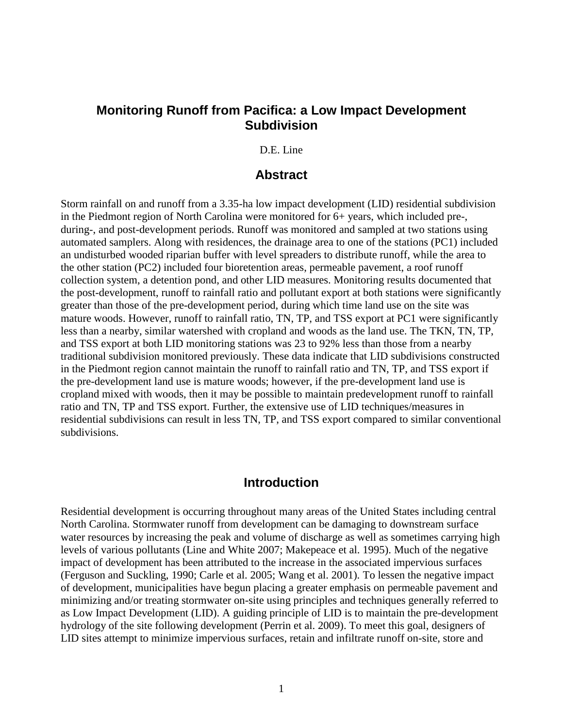## **Monitoring Runoff from Pacifica: a Low Impact Development Subdivision**

D.E. Line

### **Abstract**

Storm rainfall on and runoff from a 3.35-ha low impact development (LID) residential subdivision in the Piedmont region of North Carolina were monitored for 6+ years, which included pre-, during-, and post-development periods. Runoff was monitored and sampled at two stations using automated samplers. Along with residences, the drainage area to one of the stations (PC1) included an undisturbed wooded riparian buffer with level spreaders to distribute runoff, while the area to the other station (PC2) included four bioretention areas, permeable pavement, a roof runoff collection system, a detention pond, and other LID measures. Monitoring results documented that the post-development, runoff to rainfall ratio and pollutant export at both stations were significantly greater than those of the pre-development period, during which time land use on the site was mature woods. However, runoff to rainfall ratio, TN, TP, and TSS export at PC1 were significantly less than a nearby, similar watershed with cropland and woods as the land use. The TKN, TN, TP, and TSS export at both LID monitoring stations was 23 to 92% less than those from a nearby traditional subdivision monitored previously. These data indicate that LID subdivisions constructed in the Piedmont region cannot maintain the runoff to rainfall ratio and TN, TP, and TSS export if the pre-development land use is mature woods; however, if the pre-development land use is cropland mixed with woods, then it may be possible to maintain predevelopment runoff to rainfall ratio and TN, TP and TSS export. Further, the extensive use of LID techniques/measures in residential subdivisions can result in less TN, TP, and TSS export compared to similar conventional subdivisions.

## **Introduction**

Residential development is occurring throughout many areas of the United States including central North Carolina. Stormwater runoff from development can be damaging to downstream surface water resources by increasing the peak and volume of discharge as well as sometimes carrying high levels of various pollutants (Line and White 2007; Makepeace et al. 1995). Much of the negative impact of development has been attributed to the increase in the associated impervious surfaces (Ferguson and Suckling, 1990; Carle et al. 2005; Wang et al. 2001). To lessen the negative impact of development, municipalities have begun placing a greater emphasis on permeable pavement and minimizing and/or treating stormwater on-site using principles and techniques generally referred to as Low Impact Development (LID). A guiding principle of LID is to maintain the pre-development hydrology of the site following development (Perrin et al. 2009). To meet this goal, designers of LID sites attempt to minimize impervious surfaces, retain and infiltrate runoff on-site, store and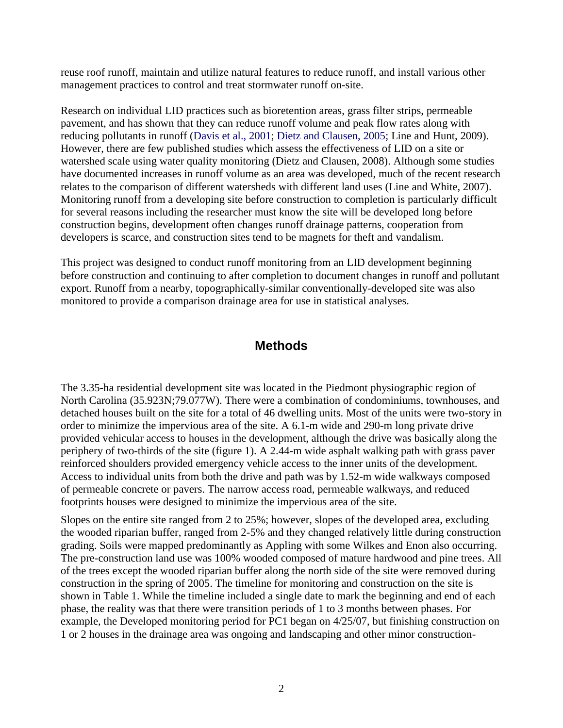reuse roof runoff, maintain and utilize natural features to reduce runoff, and install various other management practices to control and treat stormwater runoff on-site.

Research on individual LID practices such as bioretention areas, grass filter strips, permeable pavement, and has shown that they can reduce runoff volume and peak flow rates along with reducing pollutants in runoff (Davis et al., 2001; Dietz and Clausen, 2005; Line and Hunt, 2009). However, there are few published studies which assess the effectiveness of LID on a site or watershed scale using water quality monitoring (Dietz and Clausen, 2008). Although some studies have documented increases in runoff volume as an area was developed, much of the recent research relates to the comparison of different watersheds with different land uses (Line and White, 2007). Monitoring runoff from a developing site before construction to completion is particularly difficult for several reasons including the researcher must know the site will be developed long before construction begins, development often changes runoff drainage patterns, cooperation from developers is scarce, and construction sites tend to be magnets for theft and vandalism.

This project was designed to conduct runoff monitoring from an LID development beginning before construction and continuing to after completion to document changes in runoff and pollutant export. Runoff from a nearby, topographically-similar conventionally-developed site was also monitored to provide a comparison drainage area for use in statistical analyses.

# **Methods**

The 3.35-ha residential development site was located in the Piedmont physiographic region of North Carolina (35.923N;79.077W). There were a combination of condominiums, townhouses, and detached houses built on the site for a total of 46 dwelling units. Most of the units were two-story in order to minimize the impervious area of the site. A 6.1-m wide and 290-m long private drive provided vehicular access to houses in the development, although the drive was basically along the periphery of two-thirds of the site (figure 1). A 2.44-m wide asphalt walking path with grass paver reinforced shoulders provided emergency vehicle access to the inner units of the development. Access to individual units from both the drive and path was by 1.52-m wide walkways composed of permeable concrete or pavers. The narrow access road, permeable walkways, and reduced footprints houses were designed to minimize the impervious area of the site.

Slopes on the entire site ranged from 2 to 25%; however, slopes of the developed area, excluding the wooded riparian buffer, ranged from 2-5% and they changed relatively little during construction grading. Soils were mapped predominantly as Appling with some Wilkes and Enon also occurring. The pre-construction land use was 100% wooded composed of mature hardwood and pine trees. All of the trees except the wooded riparian buffer along the north side of the site were removed during construction in the spring of 2005. The timeline for monitoring and construction on the site is shown in Table 1. While the timeline included a single date to mark the beginning and end of each phase, the reality was that there were transition periods of 1 to 3 months between phases. For example, the Developed monitoring period for PC1 began on 4/25/07, but finishing construction on 1 or 2 houses in the drainage area was ongoing and landscaping and other minor construction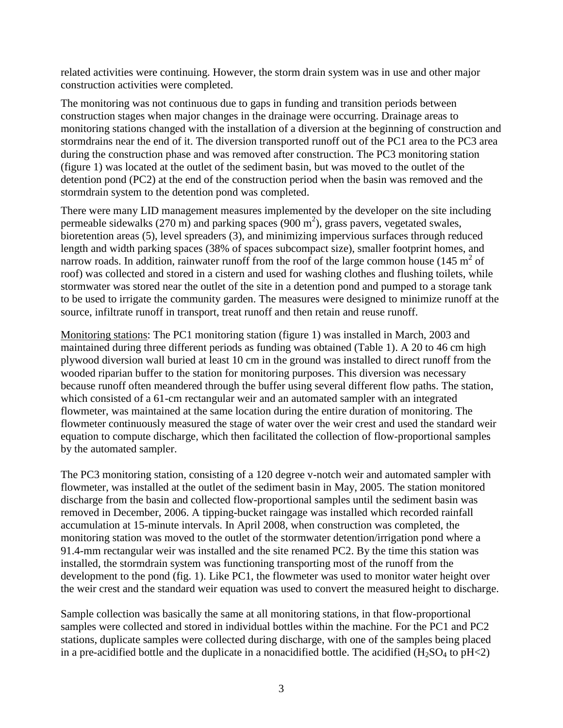related activities were continuing. However, the storm drain system was in use and other major construction activities were completed.

The monitoring was not continuous due to gaps in funding and transition periods between construction stages when major changes in the drainage were occurring. Drainage areas to monitoring stations changed with the installation of a diversion at the beginning of construction and stormdrains near the end of it. The diversion transported runoff out of the PC1 area to the PC3 area during the construction phase and was removed after construction. The PC3 monitoring station (figure 1) was located at the outlet of the sediment basin, but was moved to the outlet of the detention pond (PC2) at the end of the construction period when the basin was removed and the stormdrain system to the detention pond was completed.

There were many LID management measures implemented by the developer on the site including permeable sidewalks (270 m) and parking spaces (900 m<sup>2</sup>), grass pavers, vegetated swales, bioretention areas (5), level spreaders (3), and minimizing impervious surfaces through reduced length and width parking spaces (38% of spaces subcompact size), smaller footprint homes, and narrow roads. In addition, rainwater runoff from the roof of the large common house (145  $m^2$  of roof) was collected and stored in a cistern and used for washing clothes and flushing toilets, while stormwater was stored near the outlet of the site in a detention pond and pumped to a storage tank to be used to irrigate the community garden. The measures were designed to minimize runoff at the source, infiltrate runoff in transport, treat runoff and then retain and reuse runoff.

Monitoring stations: The PC1 monitoring station (figure 1) was installed in March, 2003 and maintained during three different periods as funding was obtained (Table 1). A 20 to 46 cm high plywood diversion wall buried at least 10 cm in the ground was installed to direct runoff from the wooded riparian buffer to the station for monitoring purposes. This diversion was necessary because runoff often meandered through the buffer using several different flow paths. The station, which consisted of a 61-cm rectangular weir and an automated sampler with an integrated flowmeter, was maintained at the same location during the entire duration of monitoring. The flowmeter continuously measured the stage of water over the weir crest and used the standard weir equation to compute discharge, which then facilitated the collection of flow-proportional samples by the automated sampler.

The PC3 monitoring station, consisting of a 120 degree v-notch weir and automated sampler with flowmeter, was installed at the outlet of the sediment basin in May, 2005. The station monitored discharge from the basin and collected flow-proportional samples until the sediment basin was removed in December, 2006. A tipping-bucket raingage was installed which recorded rainfall accumulation at 15-minute intervals. In April 2008, when construction was completed, the monitoring station was moved to the outlet of the stormwater detention/irrigation pond where a 91.4-mm rectangular weir was installed and the site renamed PC2. By the time this station was installed, the stormdrain system was functioning transporting most of the runoff from the development to the pond (fig. 1). Like PC1, the flowmeter was used to monitor water height over the weir crest and the standard weir equation was used to convert the measured height to discharge.

Sample collection was basically the same at all monitoring stations, in that flow-proportional samples were collected and stored in individual bottles within the machine. For the PC1 and PC2 stations, duplicate samples were collected during discharge, with one of the samples being placed in a pre-acidified bottle and the duplicate in a nonacidified bottle. The acidified  $(H_2SO_4$  to pH<2)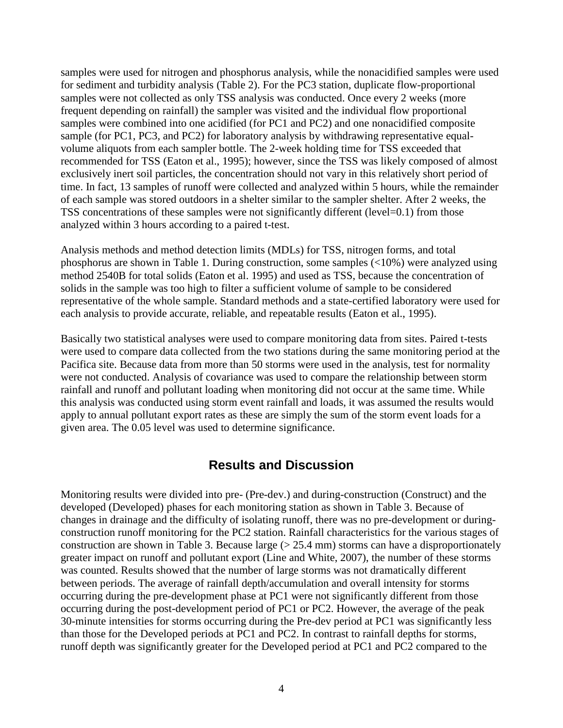samples were used for nitrogen and phosphorus analysis, while the nonacidified samples were used for sediment and turbidity analysis (Table 2). For the PC3 station, duplicate flow-proportional samples were not collected as only TSS analysis was conducted. Once every 2 weeks (more frequent depending on rainfall) the sampler was visited and the individual flow proportional samples were combined into one acidified (for PC1 and PC2) and one nonacidified composite sample (for PC1, PC3, and PC2) for laboratory analysis by withdrawing representative equalvolume aliquots from each sampler bottle. The 2-week holding time for TSS exceeded that recommended for TSS (Eaton et al., 1995); however, since the TSS was likely composed of almost exclusively inert soil particles, the concentration should not vary in this relatively short period of time. In fact, 13 samples of runoff were collected and analyzed within 5 hours, while the remainder of each sample was stored outdoors in a shelter similar to the sampler shelter. After 2 weeks, the TSS concentrations of these samples were not significantly different (level=0.1) from those analyzed within 3 hours according to a paired t-test.

Analysis methods and method detection limits (MDLs) for TSS, nitrogen forms, and total phosphorus are shown in Table 1. During construction, some samples (<10%) were analyzed using method 2540B for total solids (Eaton et al. 1995) and used as TSS, because the concentration of solids in the sample was too high to filter a sufficient volume of sample to be considered representative of the whole sample. Standard methods and a state-certified laboratory were used for each analysis to provide accurate, reliable, and repeatable results (Eaton et al., 1995).

Basically two statistical analyses were used to compare monitoring data from sites. Paired t-tests were used to compare data collected from the two stations during the same monitoring period at the Pacifica site. Because data from more than 50 storms were used in the analysis, test for normality were not conducted. Analysis of covariance was used to compare the relationship between storm rainfall and runoff and pollutant loading when monitoring did not occur at the same time. While this analysis was conducted using storm event rainfall and loads, it was assumed the results would apply to annual pollutant export rates as these are simply the sum of the storm event loads for a given area. The 0.05 level was used to determine significance.

## **Results and Discussion**

Monitoring results were divided into pre- (Pre-dev.) and during-construction (Construct) and the developed (Developed) phases for each monitoring station as shown in Table 3. Because of changes in drainage and the difficulty of isolating runoff, there was no pre-development or duringconstruction runoff monitoring for the PC2 station. Rainfall characteristics for the various stages of construction are shown in Table 3. Because large  $(> 25.4 \text{ mm})$  storms can have a disproportionately greater impact on runoff and pollutant export (Line and White, 2007), the number of these storms was counted. Results showed that the number of large storms was not dramatically different between periods. The average of rainfall depth/accumulation and overall intensity for storms occurring during the pre-development phase at PC1 were not significantly different from those occurring during the post-development period of PC1 or PC2. However, the average of the peak 30-minute intensities for storms occurring during the Pre-dev period at PC1 was significantly less than those for the Developed periods at PC1 and PC2. In contrast to rainfall depths for storms, runoff depth was significantly greater for the Developed period at PC1 and PC2 compared to the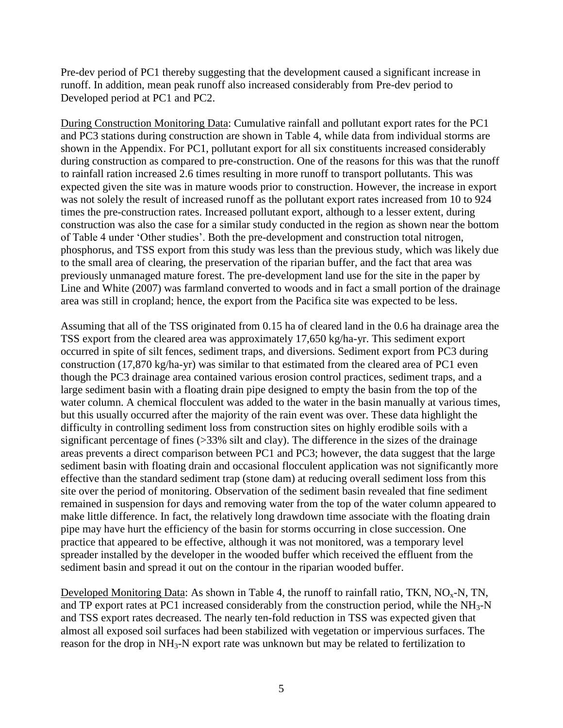Pre-dev period of PC1 thereby suggesting that the development caused a significant increase in runoff. In addition, mean peak runoff also increased considerably from Pre-dev period to Developed period at PC1 and PC2.

During Construction Monitoring Data: Cumulative rainfall and pollutant export rates for the PC1 and PC3 stations during construction are shown in Table 4, while data from individual storms are shown in the Appendix. For PC1, pollutant export for all six constituents increased considerably during construction as compared to pre-construction. One of the reasons for this was that the runoff to rainfall ration increased 2.6 times resulting in more runoff to transport pollutants. This was expected given the site was in mature woods prior to construction. However, the increase in export was not solely the result of increased runoff as the pollutant export rates increased from 10 to 924 times the pre-construction rates. Increased pollutant export, although to a lesser extent, during construction was also the case for a similar study conducted in the region as shown near the bottom of Table 4 under 'Other studies'. Both the pre-development and construction total nitrogen, phosphorus, and TSS export from this study was less than the previous study, which was likely due to the small area of clearing, the preservation of the riparian buffer, and the fact that area was previously unmanaged mature forest. The pre-development land use for the site in the paper by Line and White (2007) was farmland converted to woods and in fact a small portion of the drainage area was still in cropland; hence, the export from the Pacifica site was expected to be less.

Assuming that all of the TSS originated from 0.15 ha of cleared land in the 0.6 ha drainage area the TSS export from the cleared area was approximately 17,650 kg/ha-yr. This sediment export occurred in spite of silt fences, sediment traps, and diversions. Sediment export from PC3 during construction (17,870 kg/ha-yr) was similar to that estimated from the cleared area of PC1 even though the PC3 drainage area contained various erosion control practices, sediment traps, and a large sediment basin with a floating drain pipe designed to empty the basin from the top of the water column. A chemical flocculent was added to the water in the basin manually at various times, but this usually occurred after the majority of the rain event was over. These data highlight the difficulty in controlling sediment loss from construction sites on highly erodible soils with a significant percentage of fines (>33% silt and clay). The difference in the sizes of the drainage areas prevents a direct comparison between PC1 and PC3; however, the data suggest that the large sediment basin with floating drain and occasional flocculent application was not significantly more effective than the standard sediment trap (stone dam) at reducing overall sediment loss from this site over the period of monitoring. Observation of the sediment basin revealed that fine sediment remained in suspension for days and removing water from the top of the water column appeared to make little difference. In fact, the relatively long drawdown time associate with the floating drain pipe may have hurt the efficiency of the basin for storms occurring in close succession. One practice that appeared to be effective, although it was not monitored, was a temporary level spreader installed by the developer in the wooded buffer which received the effluent from the sediment basin and spread it out on the contour in the riparian wooded buffer.

Developed Monitoring Data: As shown in Table 4, the runoff to rainfall ratio, TKN,  $NO<sub>x</sub>-N$ , TN, and TP export rates at PC1 increased considerably from the construction period, while the  $NH<sub>3</sub>-N$ and TSS export rates decreased. The nearly ten-fold reduction in TSS was expected given that almost all exposed soil surfaces had been stabilized with vegetation or impervious surfaces. The reason for the drop in NH<sub>3</sub>-N export rate was unknown but may be related to fertilization to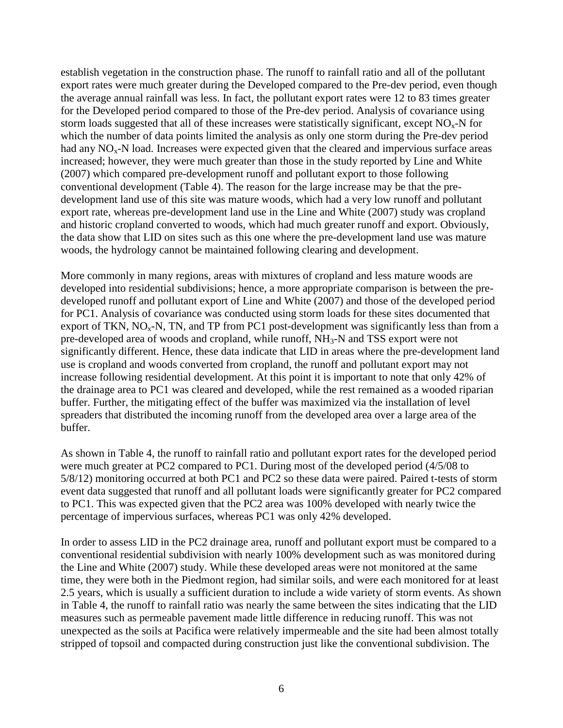establish vegetation in the construction phase. The runoff to rainfall ratio and all of the pollutant export rates were much greater during the Developed compared to the Pre-dev period, even though the average annual rainfall was less. In fact, the pollutant export rates were 12 to 83 times greater for the Developed period compared to those of the Pre-dev period. Analysis of covariance using storm loads suggested that all of these increases were statistically significant, except  $NO<sub>x</sub>$ -N for which the number of data points limited the analysis as only one storm during the Pre-dev period had any  $NO<sub>x</sub>$ -N load. Increases were expected given that the cleared and impervious surface areas increased; however, they were much greater than those in the study reported by Line and White (2007) which compared pre-development runoff and pollutant export to those following conventional development (Table 4). The reason for the large increase may be that the predevelopment land use of this site was mature woods, which had a very low runoff and pollutant export rate, whereas pre-development land use in the Line and White (2007) study was cropland and historic cropland converted to woods, which had much greater runoff and export. Obviously, the data show that LID on sites such as this one where the pre-development land use was mature woods, the hydrology cannot be maintained following clearing and development.

More commonly in many regions, areas with mixtures of cropland and less mature woods are developed into residential subdivisions; hence, a more appropriate comparison is between the predeveloped runoff and pollutant export of Line and White (2007) and those of the developed period for PC1. Analysis of covariance was conducted using storm loads for these sites documented that export of TKN,  $NO<sub>x</sub>$ -N, TN, and TP from PC1 post-development was significantly less than from a pre-developed area of woods and cropland, while runoff, NH3-N and TSS export were not significantly different. Hence, these data indicate that LID in areas where the pre-development land use is cropland and woods converted from cropland, the runoff and pollutant export may not increase following residential development. At this point it is important to note that only 42% of the drainage area to PC1 was cleared and developed, while the rest remained as a wooded riparian buffer. Further, the mitigating effect of the buffer was maximized via the installation of level spreaders that distributed the incoming runoff from the developed area over a large area of the buffer.

As shown in Table 4, the runoff to rainfall ratio and pollutant export rates for the developed period were much greater at PC2 compared to PC1. During most of the developed period (4/5/08 to 5/8/12) monitoring occurred at both PC1 and PC2 so these data were paired. Paired t-tests of storm event data suggested that runoff and all pollutant loads were significantly greater for PC2 compared to PC1. This was expected given that the PC2 area was 100% developed with nearly twice the percentage of impervious surfaces, whereas PC1 was only 42% developed.

In order to assess LID in the PC2 drainage area, runoff and pollutant export must be compared to a conventional residential subdivision with nearly 100% development such as was monitored during the Line and White (2007) study. While these developed areas were not monitored at the same time, they were both in the Piedmont region, had similar soils, and were each monitored for at least 2.5 years, which is usually a sufficient duration to include a wide variety of storm events. As shown in Table 4, the runoff to rainfall ratio was nearly the same between the sites indicating that the LID measures such as permeable pavement made little difference in reducing runoff. This was not unexpected as the soils at Pacifica were relatively impermeable and the site had been almost totally stripped of topsoil and compacted during construction just like the conventional subdivision. The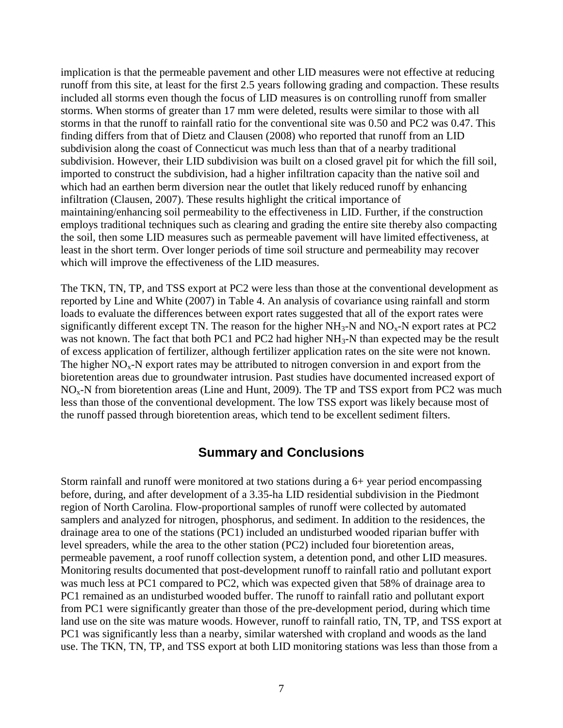implication is that the permeable pavement and other LID measures were not effective at reducing runoff from this site, at least for the first 2.5 years following grading and compaction. These results included all storms even though the focus of LID measures is on controlling runoff from smaller storms. When storms of greater than 17 mm were deleted, results were similar to those with all storms in that the runoff to rainfall ratio for the conventional site was 0.50 and PC2 was 0.47. This finding differs from that of Dietz and Clausen (2008) who reported that runoff from an LID subdivision along the coast of Connecticut was much less than that of a nearby traditional subdivision. However, their LID subdivision was built on a closed gravel pit for which the fill soil, imported to construct the subdivision, had a higher infiltration capacity than the native soil and which had an earthen berm diversion near the outlet that likely reduced runoff by enhancing infiltration (Clausen, 2007). These results highlight the critical importance of maintaining/enhancing soil permeability to the effectiveness in LID. Further, if the construction employs traditional techniques such as clearing and grading the entire site thereby also compacting the soil, then some LID measures such as permeable pavement will have limited effectiveness, at least in the short term. Over longer periods of time soil structure and permeability may recover which will improve the effectiveness of the LID measures.

The TKN, TN, TP, and TSS export at PC2 were less than those at the conventional development as reported by Line and White (2007) in Table 4. An analysis of covariance using rainfall and storm loads to evaluate the differences between export rates suggested that all of the export rates were significantly different except TN. The reason for the higher  $NH_3-N$  and  $NO_x-N$  export rates at PC2 was not known. The fact that both PC1 and PC2 had higher NH<sub>3</sub>-N than expected may be the result of excess application of fertilizer, although fertilizer application rates on the site were not known. The higher  $NO<sub>x</sub>-N$  export rates may be attributed to nitrogen conversion in and export from the bioretention areas due to groundwater intrusion. Past studies have documented increased export of  $NO<sub>x</sub>$ -N from bioretention areas (Line and Hunt, 2009). The TP and TSS export from PC2 was much less than those of the conventional development. The low TSS export was likely because most of the runoff passed through bioretention areas, which tend to be excellent sediment filters.

## **Summary and Conclusions**

Storm rainfall and runoff were monitored at two stations during a 6+ year period encompassing before, during, and after development of a 3.35-ha LID residential subdivision in the Piedmont region of North Carolina. Flow-proportional samples of runoff were collected by automated samplers and analyzed for nitrogen, phosphorus, and sediment. In addition to the residences, the drainage area to one of the stations (PC1) included an undisturbed wooded riparian buffer with level spreaders, while the area to the other station (PC2) included four bioretention areas, permeable pavement, a roof runoff collection system, a detention pond, and other LID measures. Monitoring results documented that post-development runoff to rainfall ratio and pollutant export was much less at PC1 compared to PC2, which was expected given that 58% of drainage area to PC1 remained as an undisturbed wooded buffer. The runoff to rainfall ratio and pollutant export from PC1 were significantly greater than those of the pre-development period, during which time land use on the site was mature woods. However, runoff to rainfall ratio, TN, TP, and TSS export at PC1 was significantly less than a nearby, similar watershed with cropland and woods as the land use. The TKN, TN, TP, and TSS export at both LID monitoring stations was less than those from a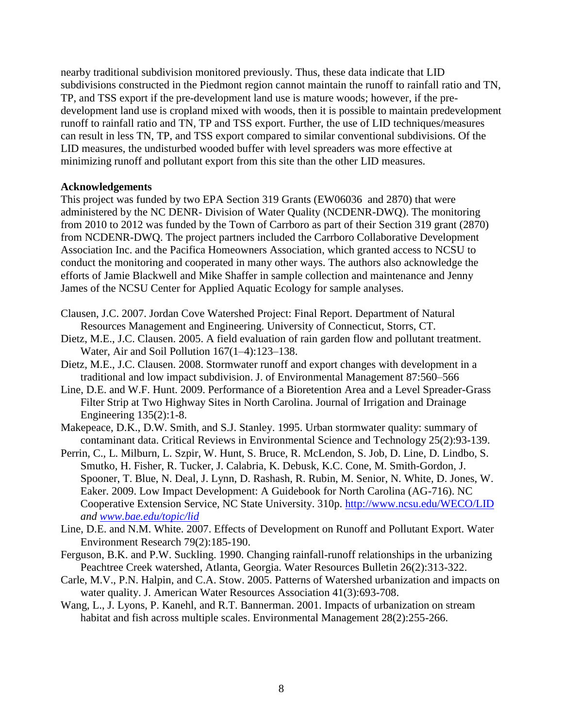nearby traditional subdivision monitored previously. Thus, these data indicate that LID subdivisions constructed in the Piedmont region cannot maintain the runoff to rainfall ratio and TN, TP, and TSS export if the pre-development land use is mature woods; however, if the predevelopment land use is cropland mixed with woods, then it is possible to maintain predevelopment runoff to rainfall ratio and TN, TP and TSS export. Further, the use of LID techniques/measures can result in less TN, TP, and TSS export compared to similar conventional subdivisions. Of the LID measures, the undisturbed wooded buffer with level spreaders was more effective at minimizing runoff and pollutant export from this site than the other LID measures.

#### **Acknowledgements**

This project was funded by two EPA Section 319 Grants (EW06036 and 2870) that were administered by the NC DENR- Division of Water Quality (NCDENR-DWQ). The monitoring from 2010 to 2012 was funded by the Town of Carrboro as part of their Section 319 grant (2870) from NCDENR-DWQ. The project partners included the Carrboro Collaborative Development Association Inc. and the Pacifica Homeowners Association, which granted access to NCSU to conduct the monitoring and cooperated in many other ways. The authors also acknowledge the efforts of Jamie Blackwell and Mike Shaffer in sample collection and maintenance and Jenny James of the NCSU Center for Applied Aquatic Ecology for sample analyses.

- Clausen, J.C. 2007. Jordan Cove Watershed Project: Final Report. Department of Natural Resources Management and Engineering. University of Connecticut, Storrs, CT.
- Dietz, M.E., J.C. Clausen. 2005. A field evaluation of rain garden flow and pollutant treatment. Water, Air and Soil Pollution 167(1–4):123–138.
- Dietz, M.E., J.C. Clausen. 2008. Stormwater runoff and export changes with development in a traditional and low impact subdivision. J. of Environmental Management 87:560–566
- Line, D.E. and W.F. Hunt. 2009. Performance of a Bioretention Area and a Level Spreader-Grass Filter Strip at Two Highway Sites in North Carolina. Journal of Irrigation and Drainage Engineering 135(2):1-8.
- Makepeace, D.K., D.W. Smith, and S.J. Stanley. 1995. Urban stormwater quality: summary of contaminant data. Critical Reviews in Environmental Science and Technology 25(2):93-139.
- Perrin, C., L. Milburn, L. Szpir, W. Hunt, S. Bruce, R. McLendon, S. Job, D. Line, D. Lindbo, S. Smutko, H. Fisher, R. Tucker, J. Calabria, K. Debusk, K.C. Cone, M. Smith-Gordon, J. Spooner, T. Blue, N. Deal, J. Lynn, D. Rashash, R. Rubin, M. Senior, N. White, D. Jones, W. Eaker. 2009. Low Impact Development: A Guidebook for North Carolina (AG-716). NC Cooperative Extension Service, NC State University. 310p.<http://www.ncsu.edu/WECO/LID> *and [www.bae.edu/topic/lid](http://www.bae.edu/topic/lid)*
- Line, D.E. and N.M. White. 2007. Effects of Development on Runoff and Pollutant Export. Water Environment Research 79(2):185-190.
- Ferguson, B.K. and P.W. Suckling. 1990. Changing rainfall-runoff relationships in the urbanizing Peachtree Creek watershed, Atlanta, Georgia. Water Resources Bulletin 26(2):313-322.
- Carle, M.V., P.N. Halpin, and C.A. Stow. 2005. Patterns of Watershed urbanization and impacts on water quality. J. American Water Resources Association 41(3):693-708.
- Wang, L., J. Lyons, P. Kanehl, and R.T. Bannerman. 2001. Impacts of urbanization on stream habitat and fish across multiple scales. Environmental Management 28(2):255-266.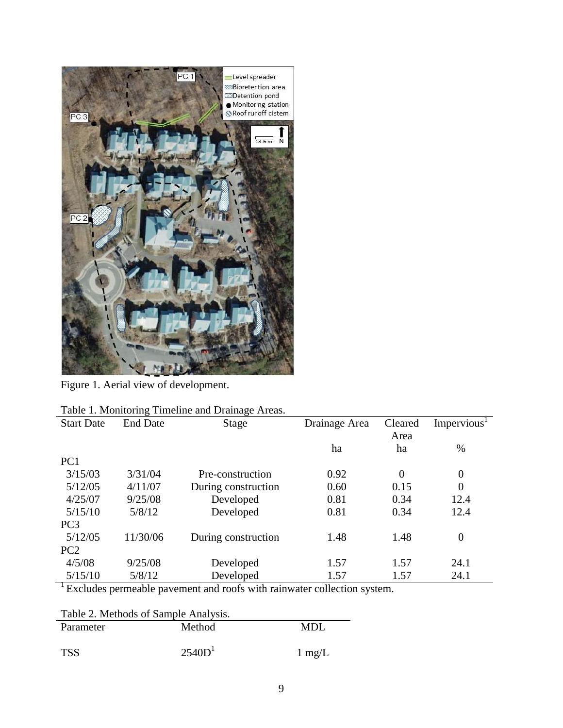

Figure 1. Aerial view of development.

|                   |                 | Table 1. Monitoring Thilemic and Dramage Areas. |               |                 |                         |
|-------------------|-----------------|-------------------------------------------------|---------------|-----------------|-------------------------|
| <b>Start Date</b> | <b>End Date</b> | Stage                                           | Drainage Area | Cleared<br>Area | Impervious <sup>1</sup> |
|                   |                 |                                                 | ha            | ha              | %                       |
| PC <sub>1</sub>   |                 |                                                 |               |                 |                         |
| 3/15/03           | 3/31/04         | Pre-construction                                | 0.92          | $\overline{0}$  | $\overline{0}$          |
| 5/12/05           | 4/11/07         | During construction                             | 0.60          | 0.15            | $\overline{0}$          |
| 4/25/07           | 9/25/08         | Developed                                       | 0.81          | 0.34            | 12.4                    |
| 5/15/10           | 5/8/12          | Developed                                       | 0.81          | 0.34            | 12.4                    |
| PC <sub>3</sub>   |                 |                                                 |               |                 |                         |
| 5/12/05           | 11/30/06        | During construction                             | 1.48          | 1.48            | $\overline{0}$          |
| PC <sub>2</sub>   |                 |                                                 |               |                 |                         |
| 4/5/08            | 9/25/08         | Developed                                       | 1.57          | 1.57            | 24.1                    |
| 5/15/10           | 5/8/12          | Developed                                       | 1.57          | 1.57            | 24.1                    |
|                   |                 |                                                 |               |                 |                         |

<sup>1</sup> Excludes permeable pavement and roofs with rainwater collection system.

| Table 2. Methods of Sample Analysis. |                    |                  |  |  |  |  |
|--------------------------------------|--------------------|------------------|--|--|--|--|
| Parameter                            | Method             | MDL.             |  |  |  |  |
|                                      |                    |                  |  |  |  |  |
| <b>TSS</b>                           | 2540D <sup>1</sup> | $1 \text{ mg/L}$ |  |  |  |  |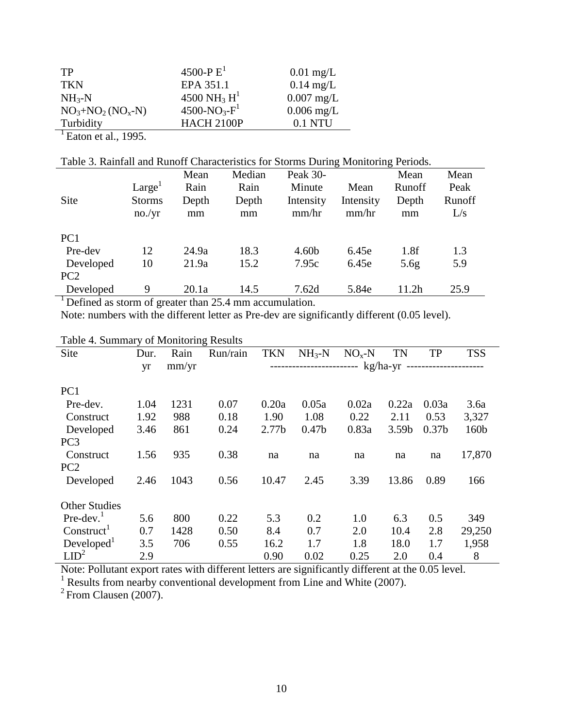| TP                | 4500-P $E^1$                        | $0.01$ mg/L  |
|-------------------|-------------------------------------|--------------|
| <b>TKN</b>        | EPA 351.1                           | $0.14$ mg/L  |
| $NH_{3}-N$        | 4500 NH <sub>3</sub> H <sup>1</sup> | $0.007$ mg/L |
| $NO3+NO2 (NOx-N)$ | $4500 - NO_3 - F^1$                 | $0.006$ mg/L |
| Turbidity         | <b>HACH 2100P</b>                   | $0.1$ NTU    |
| .                 |                                     |              |

 $\frac{1}{1}$ Eaton et al., 1995.

Table 3. Rainfall and Runoff Characteristics for Storms During Monitoring Periods.

| Site            | Large <sup>1</sup><br><b>Storms</b><br>no./yr | Mean<br>Rain<br>Depth<br>mm | Median<br>Rain<br>Depth<br>mm | <b>Peak 30-</b><br>Minute<br>Intensity<br>mm/hr | Mean<br>Intensity<br>mm/hr | Mean<br>Runoff<br>Depth<br>mm | Mean<br>Peak<br>Runoff<br>L/s |
|-----------------|-----------------------------------------------|-----------------------------|-------------------------------|-------------------------------------------------|----------------------------|-------------------------------|-------------------------------|
| PC <sub>1</sub> |                                               |                             |                               |                                                 |                            |                               |                               |
| Pre-dev         | 12                                            | 24.9a                       | 18.3                          | 4.60 <sub>b</sub>                               | 6.45e                      | 1.8f                          | 1.3                           |
| Developed       | 10                                            | 21.9a                       | 15.2                          | 7.95c                                           | 6.45e                      | 5.6 <sub>g</sub>              | 5.9                           |
| PC <sub>2</sub> |                                               |                             |                               |                                                 |                            |                               |                               |
| Developed       | 9                                             | 20.1a                       | 14.5                          | 7.62d                                           | 5.84e                      | 11.2h                         | 25.9                          |
|                 |                                               |                             |                               |                                                 |                            |                               |                               |

<sup>1</sup>Defined as storm of greater than 25.4 mm accumulation.

Note: numbers with the different letter as Pre-dev are significantly different (0.05 level).

| Table +. Building y or ividintering results |      |       |                                                            |                   |                   |         |           |                   |            |
|---------------------------------------------|------|-------|------------------------------------------------------------|-------------------|-------------------|---------|-----------|-------------------|------------|
| Site                                        | Dur. | Rain  | Run/rain                                                   | <b>TKN</b>        | $NH_{3}-N$        | $NOx-N$ | <b>TN</b> | <b>TP</b>         | <b>TSS</b> |
|                                             | yr   | mm/yr | ------------------------ kg/ha-yr<br>--------------------- |                   |                   |         |           |                   |            |
| PC <sub>1</sub>                             |      |       |                                                            |                   |                   |         |           |                   |            |
| Pre-dev.                                    | 1.04 | 1231  | 0.07                                                       | 0.20a             | 0.05a             | 0.02a   | 0.22a     | 0.03a             | 3.6a       |
| Construct                                   | 1.92 | 988   | 0.18                                                       | 1.90              | 1.08              | 0.22    | 2.11      | 0.53              | 3,327      |
| Developed                                   | 3.46 | 861   | 0.24                                                       | 2.77 <sub>b</sub> | 0.47 <sub>b</sub> | 0.83a   | 3.59b     | 0.37 <sub>b</sub> | 160b       |
| PC <sub>3</sub>                             |      |       |                                                            |                   |                   |         |           |                   |            |
| Construct                                   | 1.56 | 935   | 0.38                                                       | na                | na                | na      | na        | na                | 17,870     |
| PC <sub>2</sub>                             |      |       |                                                            |                   |                   |         |           |                   |            |
| Developed                                   | 2.46 | 1043  | 0.56                                                       | 10.47             | 2.45              | 3.39    | 13.86     | 0.89              | 166        |
| <b>Other Studies</b>                        |      |       |                                                            |                   |                   |         |           |                   |            |
| $Pre-dev.1$                                 | 5.6  | 800   | 0.22                                                       | 5.3               | 0.2               | 1.0     | 6.3       | 0.5               | 349        |
| Construct <sup>1</sup>                      | 0.7  | 1428  | 0.50                                                       | 8.4               | 0.7               | 2.0     | 10.4      | 2.8               | 29,250     |
| Developed <sup>1</sup>                      | 3.5  | 706   | 0.55                                                       | 16.2              | 1.7               | 1.8     | 18.0      | 1.7               | 1,958      |
| LID <sup>2</sup>                            | 2.9  |       |                                                            | 0.90              | 0.02              | 0.25    | 2.0       | 0.4               | 8          |

Table 4. Summary of Monitoring Results

Note: Pollutant export rates with different letters are significantly different at the 0.05 level.

<sup>1</sup> Results from nearby conventional development from Line and White (2007).

 $2$  From Clausen (2007).